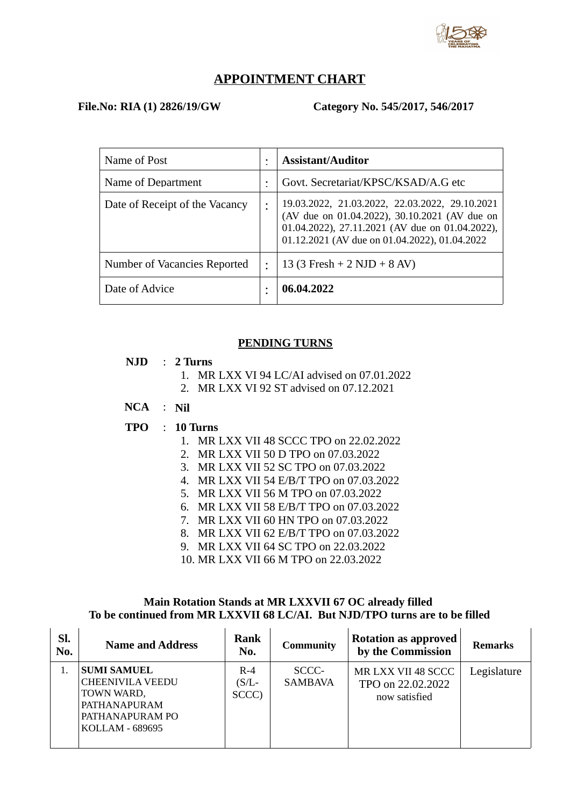

## **APPOINTMENT CHART**

#### **File.No: RIA (1) 2826/19/GW Category No. 545/2017, 546/2017**

| Name of Post                   | <b>Assistant/Auditor</b>                                                                                                                                                                            |
|--------------------------------|-----------------------------------------------------------------------------------------------------------------------------------------------------------------------------------------------------|
| Name of Department             | Govt. Secretariat/KPSC/KSAD/A.G etc                                                                                                                                                                 |
| Date of Receipt of the Vacancy | 19.03.2022, 21.03.2022, 22.03.2022, 29.10.2021<br>(AV due on 01.04.2022), 30.10.2021 (AV due on<br>01.04.2022), 27.11.2021 (AV due on 01.04.2022),<br>01.12.2021 (AV due on 01.04.2022), 01.04.2022 |
| Number of Vacancies Reported   | 13 (3 Fresh + 2 NJD + 8 AV)                                                                                                                                                                         |
| Date of Advice                 | 06.04.2022                                                                                                                                                                                          |

## **PENDING TURNS**

#### **NJD** : **2 Turns**

- 1. MR LXX VI 94 LC/AI advised on 07.01.2022
- 2. MR LXX VI 92 ST advised on 07.12.2021

# **NCA** : **Nil**

## **TPO** : **10 Turns**

- 1. MR LXX VII 48 SCCC TPO on 22.02.2022
- 2. MR LXX VII 50 D TPO on 07.03.2022
- 3. MR LXX VII 52 SC TPO on 07.03.2022
- 4. MR LXX VII 54 E/B/T TPO on 07.03.2022
- 5. MR LXX VII 56 M TPO on 07.03.2022
- 6. MR LXX VII 58 E/B/T TPO on 07.03.2022
- 7. MR LXX VII 60 HN TPO on 07.03.2022
- 8. MR LXX VII 62 E/B/T TPO on 07.03.2022
- 9. MR LXX VII 64 SC TPO on 22.03.2022
- 10. MR LXX VII 66 M TPO on 22.03.2022

## **Main Rotation Stands at MR LXXVII 67 OC already filled To be continued from MR LXXVII 68 LC/AI. But NJD/TPO turns are to be filled**

| SI.<br>No. | <b>Name and Address</b>                                                                                           | Rank<br>No.                | <b>Community</b>        | <b>Rotation as approved</b><br>by the Commission         | Remarks     |
|------------|-------------------------------------------------------------------------------------------------------------------|----------------------------|-------------------------|----------------------------------------------------------|-------------|
|            | <b>SUMI SAMUEL</b><br><b>CHEENIVILA VEEDU</b><br>TOWN WARD,<br>PATHANAPURAM<br>PATHANAPURAM PO<br>KOLLAM - 689695 | $R-4$<br>$(S/L -$<br>SCCC) | SCCC-<br><b>SAMBAVA</b> | MR LXX VII 48 SCCC<br>TPO on 22.02.2022<br>now satisfied | Legislature |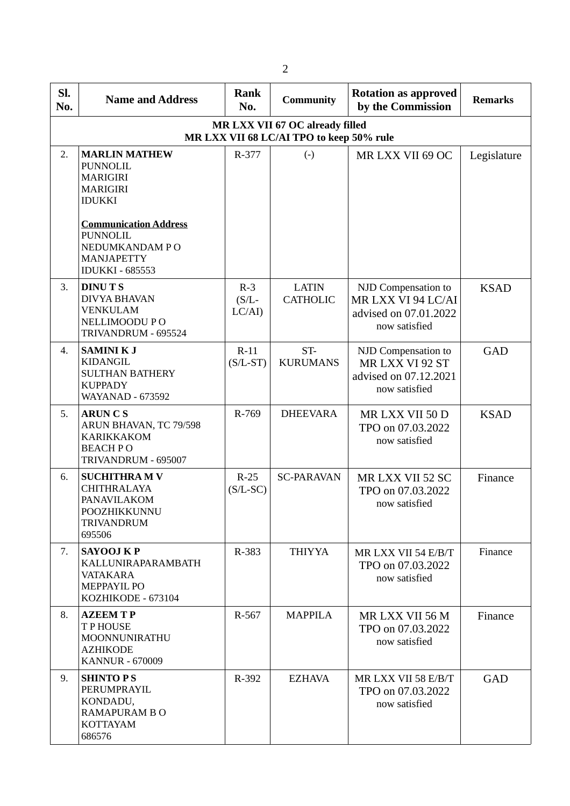| SI.<br>No. | <b>Name and Address</b>                                                                                                                                                                                            | Rank<br>No.                 | <b>Community</b>                | <b>Rotation as approved</b><br>by the Commission                                    | <b>Remarks</b> |  |  |  |  |
|------------|--------------------------------------------------------------------------------------------------------------------------------------------------------------------------------------------------------------------|-----------------------------|---------------------------------|-------------------------------------------------------------------------------------|----------------|--|--|--|--|
|            | MR LXX VII 67 OC already filled<br>MR LXX VII 68 LC/AI TPO to keep 50% rule                                                                                                                                        |                             |                                 |                                                                                     |                |  |  |  |  |
| 2.         | <b>MARLIN MATHEW</b><br><b>PUNNOLIL</b><br><b>MARIGIRI</b><br><b>MARIGIRI</b><br><b>IDUKKI</b><br><b>Communication Address</b><br><b>PUNNOLIL</b><br>NEDUMKANDAM PO<br><b>MANJAPETTY</b><br><b>IDUKKI - 685553</b> | R-377                       | $(-)$                           | MR LXX VII 69 OC                                                                    | Legislature    |  |  |  |  |
| 3.         | <b>DINUTS</b><br><b>DIVYA BHAVAN</b><br><b>VENKULAM</b><br>NELLIMOODU PO<br>TRIVANDRUM - 695524                                                                                                                    | $R-3$<br>$(S/L -$<br>LC/AI) | <b>LATIN</b><br><b>CATHOLIC</b> | NJD Compensation to<br>MR LXX VI 94 LC/AI<br>advised on 07.01.2022<br>now satisfied | <b>KSAD</b>    |  |  |  |  |
| 4.         | <b>SAMINIKJ</b><br><b>KIDANGIL</b><br><b>SULTHAN BATHERY</b><br><b>KUPPADY</b><br><b>WAYANAD - 673592</b>                                                                                                          | $R-11$<br>$(S/L-ST)$        | ST-<br><b>KURUMANS</b>          | NJD Compensation to<br>MR LXX VI 92 ST<br>advised on 07.12.2021<br>now satisfied    | <b>GAD</b>     |  |  |  |  |
| 5.         | <b>ARUNCS</b><br>ARUN BHAVAN, TC 79/598<br><b>KARIKKAKOM</b><br><b>BEACH PO</b><br>TRIVANDRUM - 695007                                                                                                             | R-769                       | <b>DHEEVARA</b>                 | MR LXX VII 50 D<br>TPO on 07.03.2022<br>now satisfied                               | <b>KSAD</b>    |  |  |  |  |
| 6.         | <b>SUCHITHRAMV</b><br><b>CHITHRALAYA</b><br>PANAVILAKOM<br>POOZHIKKUNNU<br><b>TRIVANDRUM</b><br>695506                                                                                                             | $R-25$<br>$(S/L-SC)$        | <b>SC-PARAVAN</b>               | MR LXX VII 52 SC<br>TPO on 07.03.2022<br>now satisfied                              | Finance        |  |  |  |  |
| 7.         | <b>SAYOOJ KP</b><br>KALLUNIRAPARAMBATH<br><b>VATAKARA</b><br><b>MEPPAYIL PO</b><br>KOZHIKODE - 673104                                                                                                              | R-383                       | <b>THIYYA</b>                   | MR LXX VII 54 E/B/T<br>TPO on 07.03.2022<br>now satisfied                           | Finance        |  |  |  |  |
| 8.         | <b>AZEEMTP</b><br><b>TPHOUSE</b><br>MOONNUNIRATHU<br><b>AZHIKODE</b><br><b>KANNUR - 670009</b>                                                                                                                     | R-567                       | <b>MAPPILA</b>                  | MR LXX VII 56 M<br>TPO on 07.03.2022<br>now satisfied                               | Finance        |  |  |  |  |
| 9.         | <b>SHINTO PS</b><br>PERUMPRAYIL<br>KONDADU,<br><b>RAMAPURAM BO</b><br><b>KOTTAYAM</b><br>686576                                                                                                                    | R-392                       | <b>EZHAVA</b>                   | MR LXX VII 58 E/B/T<br>TPO on 07.03.2022<br>now satisfied                           | GAD            |  |  |  |  |